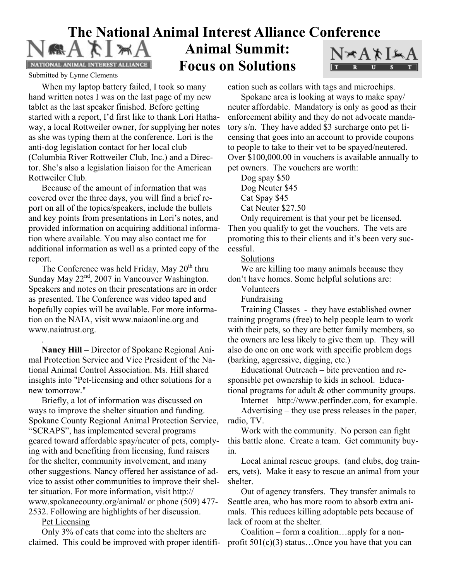# NATIONAL ANIMAL INTEREST ALLIANCE

#### Submitted by Lynne Clements

When my laptop battery failed, I took so many hand written notes I was on the last page of my new tablet as the last speaker finished. Before getting started with a report, I'd first like to thank Lori Hathaway, a local Rottweiler owner, for supplying her notes as she was typing them at the conference. Lori is the anti-dog legislation contact for her local club (Columbia River Rottweiler Club, Inc.) and a Director. She's also a legislation liaison for the American Rottweiler Club.

Because of the amount of information that was covered over the three days, you will find a brief report on all of the topics/speakers, include the bullets and key points from presentations in Lori's notes, and provided information on acquiring additional information where available. You may also contact me for additional information as well as a printed copy of the report.

The Conference was held Friday, May  $20<sup>th</sup>$  thru Sunday May 22<sup>nd</sup>, 2007 in Vancouver Washington. Speakers and notes on their presentations are in order as presented. The Conference was video taped and hopefully copies will be available. For more information on the NAIA, visit www.naiaonline.org and www.naiatrust.org.

**Nancy Hill –** Director of Spokane Regional Animal Protection Service and Vice President of the National Animal Control Association. Ms. Hill shared insights into "Pet-licensing and other solutions for a new tomorrow."

Briefly, a lot of information was discussed on ways to improve the shelter situation and funding. Spokane County Regional Animal Protection Service, "SCRAPS", has implemented several programs geared toward affordable spay/neuter of pets, complying with and benefiting from licensing, fund raisers for the shelter, community involvement, and many other suggestions. Nancy offered her assistance of advice to assist other communities to improve their shelter situation. For more information, visit http:// www.spokanecounty.org/animal/ or phone (509) 477- 2532. Following are highlights of her discussion.

Pet Licensing

.

Only 3% of cats that come into the shelters are claimed. This could be improved with proper identifi-

# The National Animal Interest Alliance Conference<br> **A**  $\star$  **T**  $\mathbb{M}$  **A** Animal Summit: **Animal Summit: Focus on Solutions**



cation such as collars with tags and microchips.

Spokane area is looking at ways to make spay/ neuter affordable. Mandatory is only as good as their enforcement ability and they do not advocate mandatory s/n. They have added \$3 surcharge onto pet licensing that goes into an account to provide coupons to people to take to their vet to be spayed/neutered. Over \$100,000.00 in vouchers is available annually to pet owners. The vouchers are worth:

Dog spay \$50 Dog Neuter \$45 Cat Spay \$45 Cat Neuter \$27.50

Only requirement is that your pet be licensed. Then you qualify to get the vouchers. The vets are promoting this to their clients and it's been very successful.

### Solutions

We are killing too many animals because they don't have homes. Some helpful solutions are:

Volunteers

Fundraising

Training Classes - they have established owner training programs (free) to help people learn to work with their pets, so they are better family members, so the owners are less likely to give them up. They will also do one on one work with specific problem dogs (barking, aggressive, digging, etc.)

Educational Outreach – bite prevention and responsible pet ownership to kids in school. Educational programs for adult & other community groups.

Internet – http://www.petfinder.com, for example. Advertising – they use press releases in the paper, radio, TV.

Work with the community. No person can fight this battle alone. Create a team. Get community buyin.

Local animal rescue groups. (and clubs, dog trainers, vets). Make it easy to rescue an animal from your shelter.

Out of agency transfers. They transfer animals to Seattle area, who has more room to absorb extra animals. This reduces killing adoptable pets because of lack of room at the shelter.

Coalition – form a coalition…apply for a nonprofit  $501(c)(3)$  status...Once you have that you can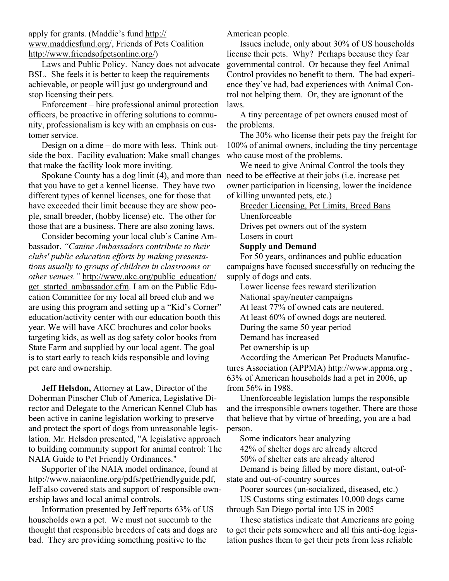#### apply for grants. (Maddie's fund http:// www.maddiesfund.org/, Friends of Pets Coalition http://www.friendsofpetsonline.org/)

Laws and Public Policy. Nancy does not advocate BSL. She feels it is better to keep the requirements achievable, or people will just go underground and stop licensing their pets.

Enforcement – hire professional animal protection officers, be proactive in offering solutions to community, professionalism is key with an emphasis on customer service.

Design on a dime – do more with less. Think outside the box. Facility evaluation; Make small changes that make the facility look more inviting.

Spokane County has a dog limit (4), and more than need to be effective at their jobs (i.e. increase pet that you have to get a kennel license. They have two different types of kennel licenses, one for those that have exceeded their limit because they are show people, small breeder, (hobby license) etc. The other for those that are a business. There are also zoning laws.

Consider becoming your local club's Canine Ambassador. *"Canine Ambassadors contribute to their clubs' public education efforts by making presentations usually to groups of children in classrooms or other venues."* http://www.akc.org/public\_education/ get started ambassador.cfm. I am on the Public Education Committee for my local all breed club and we are using this program and setting up a "Kid's Corner" education/activity center with our education booth this year. We will have AKC brochures and color books targeting kids, as well as dog safety color books from State Farm and supplied by our local agent. The goal is to start early to teach kids responsible and loving pet care and ownership.

**Jeff Helsdon,** Attorney at Law, Director of the Doberman Pinscher Club of America, Legislative Director and Delegate to the American Kennel Club has been active in canine legislation working to preserve and protect the sport of dogs from unreasonable legislation. Mr. Helsdon presented, "A legislative approach to building community support for animal control: The NAIA Guide to Pet Friendly Ordinances."

Supporter of the NAIA model ordinance, found at http://www.naiaonline.org/pdfs/petfriendlyguide.pdf, Jeff also covered stats and support of responsible ownership laws and local animal controls.

Information presented by Jeff reports 63% of US households own a pet. We must not succumb to the thought that responsible breeders of cats and dogs are bad. They are providing something positive to the

American people.

Issues include, only about 30% of US households license their pets. Why? Perhaps because they fear governmental control. Or because they feel Animal Control provides no benefit to them. The bad experience they've had, bad experiences with Animal Control not helping them. Or, they are ignorant of the laws.

A tiny percentage of pet owners caused most of the problems.

The 30% who license their pets pay the freight for 100% of animal owners, including the tiny percentage who cause most of the problems.

We need to give Animal Control the tools they owner participation in licensing, lower the incidence of killing unwanted pets, etc.)

Breeder Licensing, Pet Limits, Breed Bans Unenforceable Drives pet owners out of the system Losers in court

# **Supply and Demand**

For 50 years, ordinances and public education campaigns have focused successfully on reducing the supply of dogs and cats.

- Lower license fees reward sterilization
- National spay/neuter campaigns
- At least 77% of owned cats are neutered.
- At least 60% of owned dogs are neutered.

During the same 50 year period

- Demand has increased
- Pet ownership is up

According the American Pet Products Manufactures Association (APPMA) http://www.appma.org , 63% of American households had a pet in 2006, up from 56% in 1988.

Unenforceable legislation lumps the responsible and the irresponsible owners together. There are those that believe that by virtue of breeding, you are a bad person.

Some indicators bear analyzing

42% of shelter dogs are already altered

50% of shelter cats are already altered

Demand is being filled by more distant, out-ofstate and out-of-country sources

Poorer sources (un-socialized, diseased, etc.)

US Customs sting estimates 10,000 dogs came through San Diego portal into US in 2005

These statistics indicate that Americans are going to get their pets somewhere and all this anti-dog legislation pushes them to get their pets from less reliable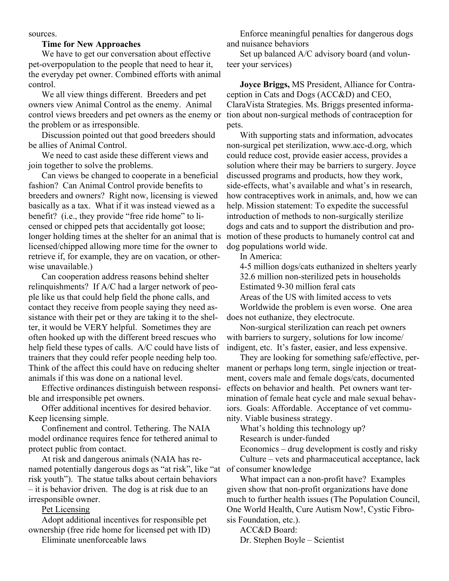sources.

#### **Time for New Approaches**

We have to get our conversation about effective pet-overpopulation to the people that need to hear it, the everyday pet owner. Combined efforts with animal control.

We all view things different. Breeders and pet owners view Animal Control as the enemy. Animal control views breeders and pet owners as the enemy or the problem or as irresponsible.

Discussion pointed out that good breeders should be allies of Animal Control.

We need to cast aside these different views and join together to solve the problems.

Can views be changed to cooperate in a beneficial fashion? Can Animal Control provide benefits to breeders and owners? Right now, licensing is viewed basically as a tax. What if it was instead viewed as a benefit? (i.e., they provide "free ride home" to licensed or chipped pets that accidentally got loose; longer holding times at the shelter for an animal that is licensed/chipped allowing more time for the owner to retrieve if, for example, they are on vacation, or otherwise unavailable.)

Can cooperation address reasons behind shelter relinquishments? If A/C had a larger network of people like us that could help field the phone calls, and contact they receive from people saying they need assistance with their pet or they are taking it to the shelter, it would be VERY helpful. Sometimes they are often hooked up with the different breed rescues who help field these types of calls. A/C could have lists of trainers that they could refer people needing help too. Think of the affect this could have on reducing shelter animals if this was done on a national level.

Effective ordinances distinguish between responsible and irresponsible pet owners.

Offer additional incentives for desired behavior. Keep licensing simple.

Confinement and control. Tethering. The NAIA model ordinance requires fence for tethered animal to protect public from contact.

At risk and dangerous animals (NAIA has renamed potentially dangerous dogs as "at risk", like "at of consumer knowledge risk youth"). The statue talks about certain behaviors – it is behavior driven. The dog is at risk due to an irresponsible owner.

### Pet Licensing

Adopt additional incentives for responsible pet ownership (free ride home for licensed pet with ID)

Eliminate unenforceable laws

Enforce meaningful penalties for dangerous dogs and nuisance behaviors

Set up balanced A/C advisory board (and volunteer your services)

**Joyce Briggs,** MS President, Alliance for Contraception in Cats and Dogs (ACC&D) and CEO, ClaraVista Strategies. Ms. Briggs presented information about non-surgical methods of contraception for pets.

With supporting stats and information, advocates non-surgical pet sterilization, www.acc-d.org, which could reduce cost, provide easier access, provides a solution where their may be barriers to surgery. Joyce discussed programs and products, how they work, side-effects, what's available and what's in research, how contraceptives work in animals, and, how we can help. Mission statement: To expedite the successful introduction of methods to non-surgically sterilize dogs and cats and to support the distribution and promotion of these products to humanely control cat and dog populations world wide.

In America:

4-5 million dogs/cats euthanized in shelters yearly 32.6 million non-sterilized pets in households Estimated 9-30 million feral cats

Areas of the US with limited access to vets

Worldwide the problem is even worse. One area does not euthanize, they electrocute.

Non-surgical sterilization can reach pet owners with barriers to surgery, solutions for low income/ indigent, etc. It's faster, easier, and less expensive.

They are looking for something safe/effective, permanent or perhaps long term, single injection or treatment, covers male and female dogs/cats, documented effects on behavior and health. Pet owners want termination of female heat cycle and male sexual behaviors. Goals: Affordable. Acceptance of vet community. Viable business strategy.

What's holding this technology up?

Research is under-funded

Economics – drug development is costly and risky Culture – vets and pharmaceutical acceptance, lack

What impact can a non-profit have? Examples given show that non-profit organizations have done much to further health issues (The Population Council, One World Health, Cure Autism Now!, Cystic Fibrosis Foundation, etc.).

ACC&D Board:

Dr. Stephen Boyle – Scientist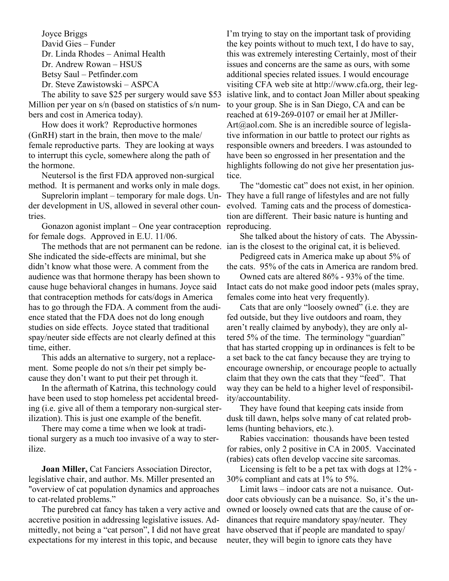Joyce Briggs David Gies – Funder Dr. Linda Rhodes – Animal Health Dr. Andrew Rowan – HSUS Betsy Saul – Petfinder.com Dr. Steve Zawistowski – ASPCA

The ability to save \$25 per surgery would save \$53 Million per year on s/n (based on statistics of s/n numbers and cost in America today).

How does it work? Reproductive hormones (GnRH) start in the brain, then move to the male/ female reproductive parts. They are looking at ways to interrupt this cycle, somewhere along the path of the hormone.

Neutersol is the first FDA approved non-surgical method. It is permanent and works only in male dogs.

Suprelorin implant – temporary for male dogs. Under development in US, allowed in several other countries.

Gonazon agonist implant – One year contraception reproducing. for female dogs. Approved in E.U. 11/06.

She indicated the side-effects are minimal, but she didn't know what those were. A comment from the audience was that hormone therapy has been shown to cause huge behavioral changes in humans. Joyce said that contraception methods for cats/dogs in America has to go through the FDA. A comment from the audience stated that the FDA does not do long enough studies on side effects. Joyce stated that traditional spay/neuter side effects are not clearly defined at this time, either.

This adds an alternative to surgery, not a replacement. Some people do not s/n their pet simply because they don't want to put their pet through it.

In the aftermath of Katrina, this technology could have been used to stop homeless pet accidental breeding (i.e. give all of them a temporary non-surgical sterilization). This is just one example of the benefit.

There may come a time when we look at traditional surgery as a much too invasive of a way to sterilize.

**Joan Miller,** Cat Fanciers Association Director, legislative chair, and author. Ms. Miller presented an "overview of cat population dynamics and approaches to cat-related problems."

The purebred cat fancy has taken a very active and accretive position in addressing legislative issues. Admittedly, not being a "cat person", I did not have great expectations for my interest in this topic, and because

I'm trying to stay on the important task of providing the key points without to much text, I do have to say, this was extremely interesting Certainly, most of their issues and concerns are the same as ours, with some additional species related issues. I would encourage visiting CFA web site at http://www.cfa.org, their legislative link, and to contact Joan Miller about speaking to your group. She is in San Diego, CA and can be reached at 619-269-0107 or email her at JMiller-Art@aol.com. She is an incredible source of legislative information in our battle to protect our rights as responsible owners and breeders. I was astounded to have been so engrossed in her presentation and the highlights following do not give her presentation justice.

The "domestic cat" does not exist, in her opinion. They have a full range of lifestyles and are not fully evolved. Taming cats and the process of domestication are different. Their basic nature is hunting and

The methods that are not permanent can be redone. ian is the closest to the original cat, it is believed. She talked about the history of cats. The Abyssin-

> Pedigreed cats in America make up about 5% of the cats. 95% of the cats in America are random bred.

> Owned cats are altered 86% - 93% of the time. Intact cats do not make good indoor pets (males spray, females come into heat very frequently).

Cats that are only "loosely owned" (i.e. they are fed outside, but they live outdoors and roam, they aren't really claimed by anybody), they are only altered 5% of the time. The terminology "guardian" that has started cropping up in ordinances is felt to be a set back to the cat fancy because they are trying to encourage ownership, or encourage people to actually claim that they own the cats that they "feed". That way they can be held to a higher level of responsibility/accountability.

They have found that keeping cats inside from dusk till dawn, helps solve many of cat related problems (hunting behaviors, etc.).

Rabies vaccination: thousands have been tested for rabies, only 2 positive in CA in 2005. Vaccinated (rabies) cats often develop vaccine site sarcomas.

Licensing is felt to be a pet tax with dogs at 12% - 30% compliant and cats at 1% to 5%.

Limit laws – indoor cats are not a nuisance. Outdoor cats obviously can be a nuisance. So, it's the unowned or loosely owned cats that are the cause of ordinances that require mandatory spay/neuter. They have observed that if people are mandated to spay/ neuter, they will begin to ignore cats they have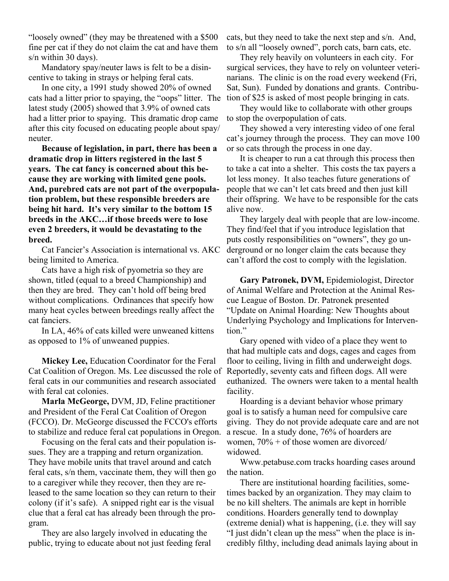"loosely owned" (they may be threatened with a \$500 fine per cat if they do not claim the cat and have them s/n within 30 days).

Mandatory spay/neuter laws is felt to be a disincentive to taking in strays or helping feral cats.

In one city, a 1991 study showed 20% of owned cats had a litter prior to spaying, the "oops" litter. The latest study (2005) showed that 3.9% of owned cats had a litter prior to spaying. This dramatic drop came after this city focused on educating people about spay/ neuter.

**Because of legislation, in part, there has been a dramatic drop in litters registered in the last 5 years. The cat fancy is concerned about this because they are working with limited gene pools. And, purebred cats are not part of the overpopulation problem, but these responsible breeders are being hit hard. It's very similar to the bottom 15 breeds in the AKC…if those breeds were to lose even 2 breeders, it would be devastating to the breed.** 

Cat Fancier's Association is international vs. AKC being limited to America.

Cats have a high risk of pyometria so they are shown, titled (equal to a breed Championship) and then they are bred. They can't hold off being bred without complications. Ordinances that specify how many heat cycles between breedings really affect the cat fanciers.

In LA, 46% of cats killed were unweaned kittens as opposed to 1% of unweaned puppies.

**Mickey Lee,** Education Coordinator for the Feral Cat Coalition of Oregon. Ms. Lee discussed the role of feral cats in our communities and research associated with feral cat colonies.

**Marla McGeorge,** DVM, JD, Feline practitioner and President of the Feral Cat Coalition of Oregon (FCCO). Dr. McGeorge discussed the FCCO's efforts to stabilize and reduce feral cat populations in Oregon.

Focusing on the feral cats and their population issues. They are a trapping and return organization. They have mobile units that travel around and catch feral cats, s/n them, vaccinate them, they will then go to a caregiver while they recover, then they are released to the same location so they can return to their colony (if it's safe). A snipped right ear is the visual clue that a feral cat has already been through the program.

They are also largely involved in educating the public, trying to educate about not just feeding feral cats, but they need to take the next step and s/n. And, to s/n all "loosely owned", porch cats, barn cats, etc.

They rely heavily on volunteers in each city. For surgical services, they have to rely on volunteer veterinarians. The clinic is on the road every weekend (Fri, Sat, Sun). Funded by donations and grants. Contribution of \$25 is asked of most people bringing in cats.

They would like to collaborate with other groups to stop the overpopulation of cats.

They showed a very interesting video of one feral cat's journey through the process. They can move 100 or so cats through the process in one day.

It is cheaper to run a cat through this process then to take a cat into a shelter. This costs the tax payers a lot less money. It also teaches future generations of people that we can't let cats breed and then just kill their offspring. We have to be responsible for the cats alive now.

They largely deal with people that are low-income. They find/feel that if you introduce legislation that puts costly responsibilities on "owners", they go underground or no longer claim the cats because they can't afford the cost to comply with the legislation.

**Gary Patronek, DVM,** Epidemiologist, Director of Animal Welfare and Protection at the Animal Rescue League of Boston. Dr. Patronek presented "Update on Animal Hoarding: New Thoughts about Underlying Psychology and Implications for Intervention"

Gary opened with video of a place they went to that had multiple cats and dogs, cages and cages from floor to ceiling, living in filth and underweight dogs. Reportedly, seventy cats and fifteen dogs. All were euthanized. The owners were taken to a mental health facility.

Hoarding is a deviant behavior whose primary goal is to satisfy a human need for compulsive care giving. They do not provide adequate care and are not a rescue. In a study done, 76% of hoarders are women, 70% + of those women are divorced/ widowed.

Www.petabuse.com tracks hoarding cases around the nation.

There are institutional hoarding facilities, sometimes backed by an organization. They may claim to be no kill shelters. The animals are kept in horrible conditions. Hoarders generally tend to downplay (extreme denial) what is happening, (i.e. they will say "I just didn't clean up the mess" when the place is incredibly filthy, including dead animals laying about in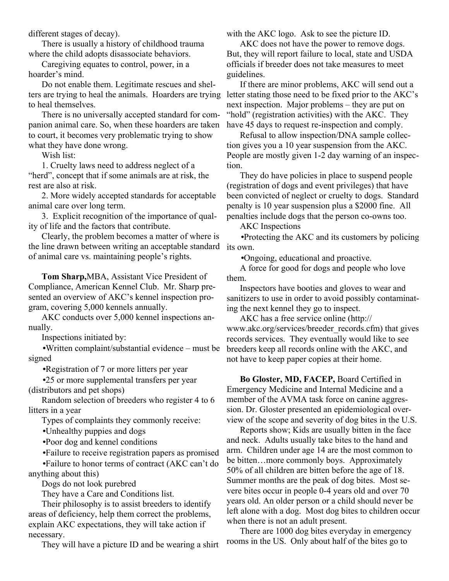different stages of decay).

There is usually a history of childhood trauma where the child adopts disassociate behaviors.

Caregiving equates to control, power, in a hoarder's mind.

Do not enable them. Legitimate rescues and shelters are trying to heal the animals. Hoarders are trying to heal themselves.

There is no universally accepted standard for companion animal care. So, when these hoarders are taken to court, it becomes very problematic trying to show what they have done wrong.

Wish list:

1. Cruelty laws need to address neglect of a "herd", concept that if some animals are at risk, the rest are also at risk.

2. More widely accepted standards for acceptable animal care over long term.

3. Explicit recognition of the importance of quality of life and the factors that contribute.

Clearly, the problem becomes a matter of where is the line drawn between writing an acceptable standard its own. of animal care vs. maintaining people's rights.

**Tom Sharp,**MBA, Assistant Vice President of Compliance, American Kennel Club. Mr. Sharp presented an overview of AKC's kennel inspection program, covering 5,000 kennels annually.

AKC conducts over 5,000 kennel inspections annually.

Inspections initiated by:

•Written complaint/substantial evidence – must be signed

•Registration of 7 or more litters per year

•25 or more supplemental transfers per year (distributors and pet shops)

Random selection of breeders who register 4 to 6 litters in a year

Types of complaints they commonly receive:

•Unhealthy puppies and dogs

•Poor dog and kennel conditions

•Failure to receive registration papers as promised •Failure to honor terms of contract (AKC can't do

anything about this)

Dogs do not look purebred

They have a Care and Conditions list.

Their philosophy is to assist breeders to identify areas of deficiency, help them correct the problems, explain AKC expectations, they will take action if necessary.

They will have a picture ID and be wearing a shirt

with the AKC logo. Ask to see the picture ID.

AKC does not have the power to remove dogs. But, they will report failure to local, state and USDA officials if breeder does not take measures to meet guidelines.

If there are minor problems, AKC will send out a letter stating those need to be fixed prior to the AKC's next inspection. Major problems – they are put on "hold" (registration activities) with the AKC. They have 45 days to request re-inspection and comply.

Refusal to allow inspection/DNA sample collection gives you a 10 year suspension from the AKC. People are mostly given 1-2 day warning of an inspection.

They do have policies in place to suspend people (registration of dogs and event privileges) that have been convicted of neglect or cruelty to dogs. Standard penalty is 10 year suspension plus a \$2000 fine. All penalties include dogs that the person co-owns too.

AKC Inspections

•Protecting the AKC and its customers by policing

•Ongoing, educational and proactive.

A force for good for dogs and people who love them.

Inspectors have booties and gloves to wear and sanitizers to use in order to avoid possibly contaminating the next kennel they go to inspect.

AKC has a free service online (http:// www.akc.org/services/breeder\_records.cfm) that gives records services. They eventually would like to see breeders keep all records online with the AKC, and not have to keep paper copies at their home.

**Bo Gloster, MD, FACEP,** Board Certified in Emergency Medicine and Internal Medicine and a member of the AVMA task force on canine aggression. Dr. Gloster presented an epidemiological overview of the scope and severity of dog bites in the U.S.

Reports show; Kids are usually bitten in the face and neck. Adults usually take bites to the hand and arm. Children under age 14 are the most common to be bitten…more commonly boys. Approximately 50% of all children are bitten before the age of 18. Summer months are the peak of dog bites. Most severe bites occur in people 0-4 years old and over 70 years old. An older person or a child should never be left alone with a dog. Most dog bites to children occur when there is not an adult present.

There are 1000 dog bites everyday in emergency rooms in the US. Only about half of the bites go to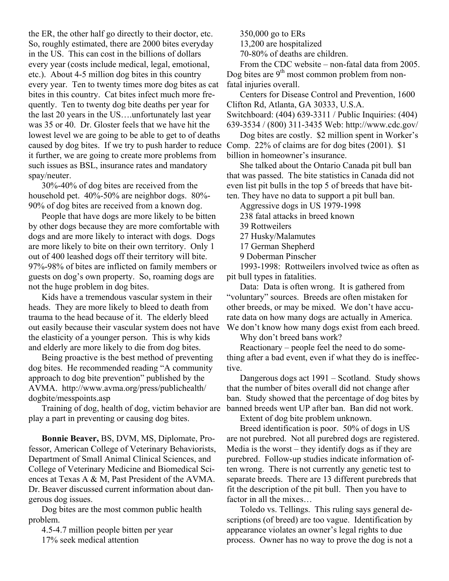the ER, the other half go directly to their doctor, etc. So, roughly estimated, there are 2000 bites everyday in the US. This can cost in the billions of dollars every year (costs include medical, legal, emotional, etc.). About 4-5 million dog bites in this country every year. Ten to twenty times more dog bites as cat bites in this country. Cat bites infect much more frequently. Ten to twenty dog bite deaths per year for the last 20 years in the US….unfortunately last year was 35 or 40. Dr. Gloster feels that we have hit the lowest level we are going to be able to get to of deaths caused by dog bites. If we try to push harder to reduce Comp. 22% of claims are for dog bites (2001). \$1 it further, we are going to create more problems from such issues as BSL, insurance rates and mandatory spay/neuter.

30%-40% of dog bites are received from the household pet. 40%-50% are neighbor dogs. 80%- 90% of dog bites are received from a known dog.

People that have dogs are more likely to be bitten by other dogs because they are more comfortable with dogs and are more likely to interact with dogs. Dogs are more likely to bite on their own territory. Only 1 out of 400 leashed dogs off their territory will bite. 97%-98% of bites are inflicted on family members or guests on dog's own property. So, roaming dogs are not the huge problem in dog bites.

Kids have a tremendous vascular system in their heads. They are more likely to bleed to death from trauma to the head because of it. The elderly bleed out easily because their vascular system does not have the elasticity of a younger person. This is why kids and elderly are more likely to die from dog bites.

Being proactive is the best method of preventing dog bites. He recommended reading "A community approach to dog bite prevention" published by the AVMA. http://www.avma.org/press/publichealth/ dogbite/messpoints.asp

Training of dog, health of dog, victim behavior are play a part in preventing or causing dog bites.

**Bonnie Beaver,** BS, DVM, MS, Diplomate, Professor, American College of Veterinary Behaviorists, Department of Small Animal Clinical Sciences, and College of Veterinary Medicine and Biomedical Sciences at Texas A & M, Past President of the AVMA. Dr. Beaver discussed current information about dangerous dog issues.

Dog bites are the most common public health problem.

4.5-4.7 million people bitten per year 17% seek medical attention

350,000 go to ERs

13,200 are hospitalized

70-80% of deaths are children.

From the CDC website – non-fatal data from 2005. Dog bites are  $9<sup>th</sup>$  most common problem from nonfatal injuries overall.

Centers for Disease Control and Prevention, 1600 Clifton Rd, Atlanta, GA 30333, U.S.A.

Switchboard: (404) 639-3311 / Public Inquiries: (404) 639-3534 / (800) 311-3435 Web: http://www.cdc.gov/

Dog bites are costly. \$2 million spent in Worker's billion in homeowner's insurance.

She talked about the Ontario Canada pit bull ban that was passed. The bite statistics in Canada did not even list pit bulls in the top 5 of breeds that have bit-

ten. They have no data to support a pit bull ban.

Aggressive dogs in US 1979-1998

238 fatal attacks in breed known

39 Rottweilers

27 Husky/Malamutes

17 German Shepherd

9 Doberman Pinscher

1993-1998: Rottweilers involved twice as often as pit bull types in fatalities.

Data: Data is often wrong. It is gathered from "voluntary" sources. Breeds are often mistaken for other breeds, or may be mixed. We don't have accurate data on how many dogs are actually in America. We don't know how many dogs exist from each breed.

Why don't breed bans work?

Reactionary – people feel the need to do something after a bad event, even if what they do is ineffective.

Dangerous dogs act 1991 – Scotland. Study shows that the number of bites overall did not change after ban. Study showed that the percentage of dog bites by banned breeds went UP after ban. Ban did not work.

Extent of dog bite problem unknown.

Breed identification is poor. 50% of dogs in US are not purebred. Not all purebred dogs are registered. Media is the worst – they identify dogs as if they are purebred. Follow-up studies indicate information often wrong. There is not currently any genetic test to separate breeds. There are 13 different purebreds that fit the description of the pit bull. Then you have to factor in all the mixes…

Toledo vs. Tellings. This ruling says general descriptions (of breed) are too vague. Identification by appearance violates an owner's legal rights to due process. Owner has no way to prove the dog is not a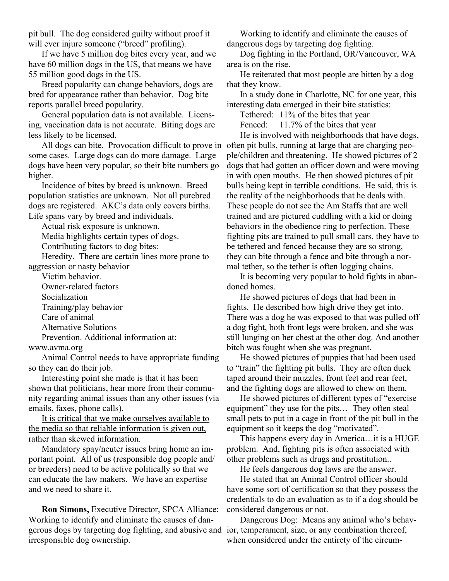pit bull. The dog considered guilty without proof it will ever injure someone ("breed" profiling).

If we have 5 million dog bites every year, and we have 60 million dogs in the US, that means we have 55 million good dogs in the US.

Breed popularity can change behaviors, dogs are bred for appearance rather than behavior. Dog bite reports parallel breed popularity.

General population data is not available. Licensing, vaccination data is not accurate. Biting dogs are less likely to be licensed.

some cases. Large dogs can do more damage. Large dogs have been very popular, so their bite numbers go higher.

Incidence of bites by breed is unknown. Breed population statistics are unknown. Not all purebred dogs are registered. AKC's data only covers births. Life spans vary by breed and individuals.

Actual risk exposure is unknown.

Media highlights certain types of dogs.

Contributing factors to dog bites:

Heredity. There are certain lines more prone to aggression or nasty behavior

Victim behavior.

Owner-related factors

Socialization

Training/play behavior

Care of animal

Alternative Solutions

Prevention. Additional information at:

www.avma.org

Animal Control needs to have appropriate funding so they can do their job.

Interesting point she made is that it has been shown that politicians, hear more from their community regarding animal issues than any other issues (via emails, faxes, phone calls).

It is critical that we make ourselves available to the media so that reliable information is given out, rather than skewed information.

Mandatory spay/neuter issues bring home an important point. All of us (responsible dog people and/ or breeders) need to be active politically so that we can educate the law makers. We have an expertise and we need to share it.

**Ron Simons,** Executive Director, SPCA Alliance: Working to identify and eliminate the causes of dangerous dogs by targeting dog fighting, and abusive and ior, temperament, size, or any combination thereof, irresponsible dog ownership.

Working to identify and eliminate the causes of dangerous dogs by targeting dog fighting.

Dog fighting in the Portland, OR/Vancouver, WA area is on the rise.

He reiterated that most people are bitten by a dog that they know.

In a study done in Charlotte, NC for one year, this interesting data emerged in their bite statistics:

Tethered: 11% of the bites that year

Fenced: 11.7% of the bites that year

All dogs can bite. Provocation difficult to prove in often pit bulls, running at large that are charging peo-He is involved with neighborhoods that have dogs, ple/children and threatening. He showed pictures of 2 dogs that had gotten an officer down and were moving in with open mouths. He then showed pictures of pit bulls being kept in terrible conditions. He said, this is the reality of the neighborhoods that he deals with. These people do not see the Am Staffs that are well trained and are pictured cuddling with a kid or doing behaviors in the obedience ring to perfection. These fighting pits are trained to pull small cars, they have to be tethered and fenced because they are so strong, they can bite through a fence and bite through a normal tether, so the tether is often logging chains.

> It is becoming very popular to hold fights in abandoned homes.

He showed pictures of dogs that had been in fights. He described how high drive they get into. There was a dog he was exposed to that was pulled off a dog fight, both front legs were broken, and she was still lunging on her chest at the other dog. And another bitch was fought when she was pregnant.

He showed pictures of puppies that had been used to "train" the fighting pit bulls. They are often duck taped around their muzzles, front feet and rear feet, and the fighting dogs are allowed to chew on them.

He showed pictures of different types of "exercise equipment" they use for the pits… They often steal small pets to put in a cage in front of the pit bull in the equipment so it keeps the dog "motivated".

This happens every day in America…it is a HUGE problem. And, fighting pits is often associated with other problems such as drugs and prostitution..

He feels dangerous dog laws are the answer. He stated that an Animal Control officer should have some sort of certification so that they possess the credentials to do an evaluation as to if a dog should be considered dangerous or not.

Dangerous Dog: Means any animal who's behavwhen considered under the entirety of the circum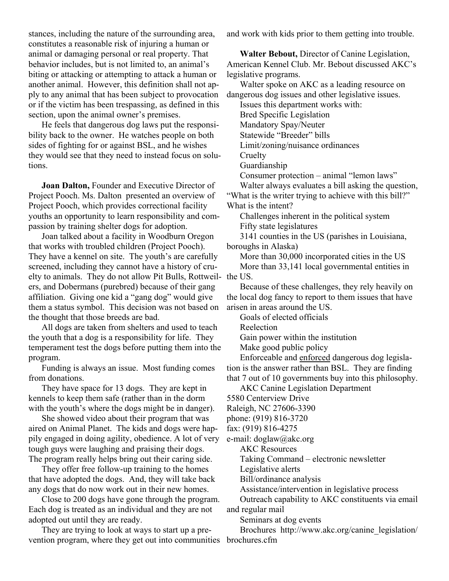stances, including the nature of the surrounding area, constitutes a reasonable risk of injuring a human or animal or damaging personal or real property. That behavior includes, but is not limited to, an animal's biting or attacking or attempting to attack a human or another animal. However, this definition shall not apply to any animal that has been subject to provocation or if the victim has been trespassing, as defined in this section, upon the animal owner's premises.

He feels that dangerous dog laws put the responsibility back to the owner. He watches people on both sides of fighting for or against BSL, and he wishes they would see that they need to instead focus on solutions.

**Joan Dalton,** Founder and Executive Director of Project Pooch. Ms. Dalton presented an overview of Project Pooch, which provides correctional facility youths an opportunity to learn responsibility and compassion by training shelter dogs for adoption.

Joan talked about a facility in Woodburn Oregon that works with troubled children (Project Pooch). They have a kennel on site. The youth's are carefully screened, including they cannot have a history of cruelty to animals. They do not allow Pit Bulls, Rottweil-the US. ers, and Dobermans (purebred) because of their gang affiliation. Giving one kid a "gang dog" would give them a status symbol. This decision was not based on the thought that those breeds are bad.

All dogs are taken from shelters and used to teach the youth that a dog is a responsibility for life. They temperament test the dogs before putting them into the program.

Funding is always an issue. Most funding comes from donations.

They have space for 13 dogs. They are kept in kennels to keep them safe (rather than in the dorm with the youth's where the dogs might be in danger).

She showed video about their program that was aired on Animal Planet. The kids and dogs were happily engaged in doing agility, obedience. A lot of very tough guys were laughing and praising their dogs. The program really helps bring out their caring side.

They offer free follow-up training to the homes that have adopted the dogs. And, they will take back any dogs that do now work out in their new homes.

Close to 200 dogs have gone through the program. Each dog is treated as an individual and they are not adopted out until they are ready.

They are trying to look at ways to start up a prevention program, where they get out into communities brochures.cfm

and work with kids prior to them getting into trouble.

**Walter Bebout,** Director of Canine Legislation, American Kennel Club. Mr. Bebout discussed AKC's legislative programs.

Walter spoke on AKC as a leading resource on dangerous dog issues and other legislative issues.

Issues this department works with: Bred Specific Legislation

Mandatory Spay/Neuter

Statewide "Breeder" bills

Limit/zoning/nuisance ordinances

**Cruelty** 

Guardianship

Consumer protection – animal "lemon laws"

Walter always evaluates a bill asking the question,

"What is the writer trying to achieve with this bill?" What is the intent?

Challenges inherent in the political system Fifty state legislatures

3141 counties in the US (parishes in Louisiana, boroughs in Alaska)

More than 30,000 incorporated cities in the US More than 33,141 local governmental entities in

Because of these challenges, they rely heavily on the local dog fancy to report to them issues that have arisen in areas around the US.

Goals of elected officials

Reelection

Gain power within the institution

Make good public policy

Enforceable and enforced dangerous dog legislation is the answer rather than BSL. They are finding that 7 out of 10 governments buy into this philosophy.

AKC Canine Legislation Department

5580 Centerview Drive

Raleigh, NC 27606-3390

phone: (919) 816-3720

fax: (919) 816-4275

e-mail: doglaw@akc.org

AKC Resources

Taking Command – electronic newsletter

Legislative alerts

Bill/ordinance analysis

Assistance/intervention in legislative process

Outreach capability to AKC constituents via email and regular mail

Seminars at dog events

Brochures http://www.akc.org/canine\_legislation/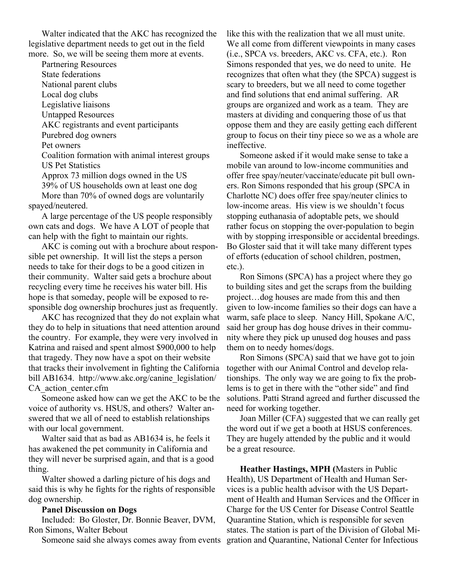Walter indicated that the AKC has recognized the legislative department needs to get out in the field more. So, we will be seeing them more at events.

Partnering Resources State federations National parent clubs Local dog clubs Legislative liaisons Untapped Resources AKC registrants and event participants Purebred dog owners Pet owners Coalition formation with animal interest groups US Pet Statistics Approx 73 million dogs owned in the US 39% of US households own at least one dog More than 70% of owned dogs are voluntarily spayed/neutered.

A large percentage of the US people responsibly own cats and dogs. We have A LOT of people that can help with the fight to maintain our rights.

AKC is coming out with a brochure about responsible pet ownership. It will list the steps a person needs to take for their dogs to be a good citizen in their community. Walter said gets a brochure about recycling every time he receives his water bill. His hope is that someday, people will be exposed to responsible dog ownership brochures just as frequently.

AKC has recognized that they do not explain what they do to help in situations that need attention around the country. For example, they were very involved in Katrina and raised and spent almost \$900,000 to help that tragedy. They now have a spot on their website that tracks their involvement in fighting the California bill AB1634. http://www.akc.org/canine\_legislation/ CA\_action\_center.cfm

Someone asked how can we get the AKC to be the voice of authority vs. HSUS, and others? Walter answered that we all of need to establish relationships with our local government.

Walter said that as bad as AB1634 is, he feels it has awakened the pet community in California and they will never be surprised again, and that is a good thing.

Walter showed a darling picture of his dogs and said this is why he fights for the rights of responsible dog ownership.

#### **Panel Discussion on Dogs**

Included: Bo Gloster, Dr. Bonnie Beaver, DVM, Ron Simons, Walter Bebout

Someone said she always comes away from events

like this with the realization that we all must unite. We all come from different viewpoints in many cases (i.e., SPCA vs. breeders, AKC vs. CFA, etc.). Ron Simons responded that yes, we do need to unite. He recognizes that often what they (the SPCA) suggest is scary to breeders, but we all need to come together and find solutions that end animal suffering. AR groups are organized and work as a team. They are masters at dividing and conquering those of us that oppose them and they are easily getting each different group to focus on their tiny piece so we as a whole are ineffective.

Someone asked if it would make sense to take a mobile van around to low-income communities and offer free spay/neuter/vaccinate/educate pit bull owners. Ron Simons responded that his group (SPCA in Charlotte NC) does offer free spay/neuter clinics to low-income areas. His view is we shouldn't focus stopping euthanasia of adoptable pets, we should rather focus on stopping the over-population to begin with by stopping irresponsible or accidental breedings. Bo Gloster said that it will take many different types of efforts (education of school children, postmen, etc.).

Ron Simons (SPCA) has a project where they go to building sites and get the scraps from the building project…dog houses are made from this and then given to low-income families so their dogs can have a warm, safe place to sleep. Nancy Hill, Spokane A/C, said her group has dog house drives in their community where they pick up unused dog houses and pass them on to needy homes/dogs.

Ron Simons (SPCA) said that we have got to join together with our Animal Control and develop relationships. The only way we are going to fix the problems is to get in there with the "other side" and find solutions. Patti Strand agreed and further discussed the need for working together.

Joan Miller (CFA) suggested that we can really get the word out if we get a booth at HSUS conferences. They are hugely attended by the public and it would be a great resource.

**Heather Hastings, MPH (**Masters in Public Health), US Department of Health and Human Services is a public health advisor with the US Department of Health and Human Services and the Officer in Charge for the US Center for Disease Control Seattle Quarantine Station, which is responsible for seven states. The station is part of the Division of Global Migration and Quarantine, National Center for Infectious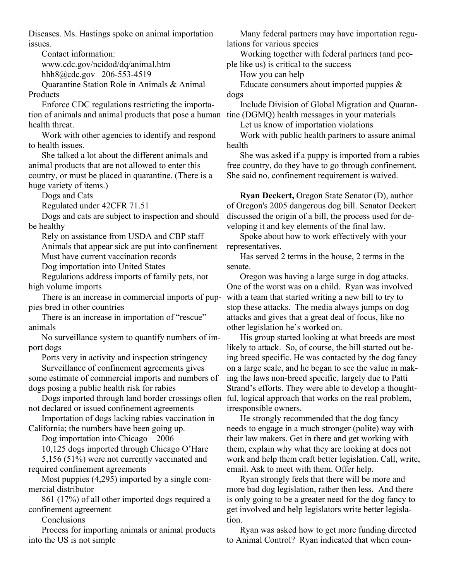Diseases. Ms. Hastings spoke on animal importation issues.

Contact information:

www.cdc.gov/ncidod/dq/animal.htm hhh8@cdc.gov 206-553-4519

Quarantine Station Role in Animals & Animal Products

Enforce CDC regulations restricting the importation of animals and animal products that pose a human health threat.

Work with other agencies to identify and respond to health issues.

She talked a lot about the different animals and animal products that are not allowed to enter this country, or must be placed in quarantine. (There is a huge variety of items.)

Dogs and Cats

Regulated under 42CFR 71.51

Dogs and cats are subject to inspection and should be healthy

Rely on assistance from USDA and CBP staff Animals that appear sick are put into confinement Must have current vaccination records

Dog importation into United States

Regulations address imports of family pets, not high volume imports

There is an increase in commercial imports of puppies bred in other countries

There is an increase in importation of "rescue" animals

No surveillance system to quantify numbers of import dogs

Ports very in activity and inspection stringency

Surveillance of confinement agreements gives some estimate of commercial imports and numbers of dogs posing a public health risk for rabies

not declared or issued confinement agreements

Importation of dogs lacking rabies vaccination in California; the numbers have been going up.

Dog importation into Chicago – 2006

10,125 dogs imported through Chicago O'Hare

5,156 (51%) were not currently vaccinated and required confinement agreements

Most puppies (4,295) imported by a single commercial distributor

861 (17%) of all other imported dogs required a confinement agreement

**Conclusions** 

Process for importing animals or animal products into the US is not simple

Many federal partners may have importation regulations for various species

Working together with federal partners (and people like us) is critical to the success

How you can help

Educate consumers about imported puppies & dogs

Include Division of Global Migration and Quarantine (DGMQ) health messages in your materials

Let us know of importation violations

Work with public health partners to assure animal health

She was asked if a puppy is imported from a rabies free country, do they have to go through confinement. She said no, confinement requirement is waived.

**Ryan Deckert,** Oregon State Senator (D), author of Oregon's 2005 dangerous dog bill. Senator Deckert discussed the origin of a bill, the process used for developing it and key elements of the final law.

Spoke about how to work effectively with your representatives.

Has served 2 terms in the house, 2 terms in the senate.

Oregon was having a large surge in dog attacks. One of the worst was on a child. Ryan was involved with a team that started writing a new bill to try to stop these attacks. The media always jumps on dog attacks and gives that a great deal of focus, like no other legislation he's worked on.

Dogs imported through land border crossings often ful, logical approach that works on the real problem, His group started looking at what breeds are most likely to attack. So, of course, the bill started out being breed specific. He was contacted by the dog fancy on a large scale, and he began to see the value in making the laws non-breed specific, largely due to Patti Strand's efforts. They were able to develop a thoughtirresponsible owners.

> He strongly recommended that the dog fancy needs to engage in a much stronger (polite) way with their law makers. Get in there and get working with them, explain why what they are looking at does not work and help them craft better legislation. Call, write, email. Ask to meet with them. Offer help.

Ryan strongly feels that there will be more and more bad dog legislation, rather then less. And there is only going to be a greater need for the dog fancy to get involved and help legislators write better legislation.

Ryan was asked how to get more funding directed to Animal Control? Ryan indicated that when coun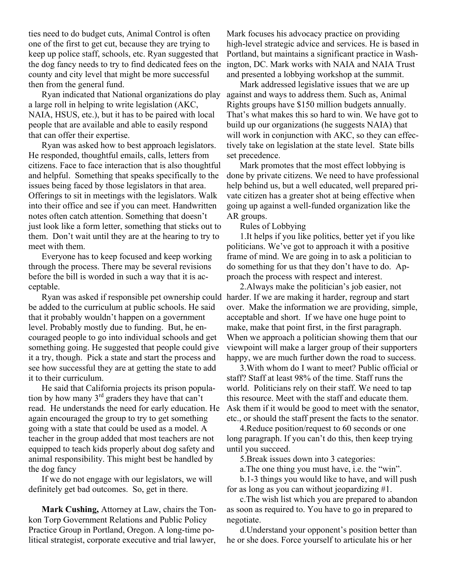ties need to do budget cuts, Animal Control is often one of the first to get cut, because they are trying to keep up police staff, schools, etc. Ryan suggested that the dog fancy needs to try to find dedicated fees on the county and city level that might be more successful then from the general fund.

Ryan indicated that National organizations do play a large roll in helping to write legislation (AKC, NAIA, HSUS, etc.), but it has to be paired with local people that are available and able to easily respond that can offer their expertise.

Ryan was asked how to best approach legislators. He responded, thoughtful emails, calls, letters from citizens. Face to face interaction that is also thoughtful and helpful. Something that speaks specifically to the issues being faced by those legislators in that area. Offerings to sit in meetings with the legislators. Walk into their office and see if you can meet. Handwritten notes often catch attention. Something that doesn't just look like a form letter, something that sticks out to them. Don't wait until they are at the hearing to try to meet with them.

Everyone has to keep focused and keep working through the process. There may be several revisions before the bill is worded in such a way that it is acceptable.

be added to the curriculum at public schools. He said that it probably wouldn't happen on a government level. Probably mostly due to funding. But, he encouraged people to go into individual schools and get something going. He suggested that people could give it a try, though. Pick a state and start the process and see how successful they are at getting the state to add it to their curriculum.

He said that California projects its prison population by how many  $3<sup>rd</sup>$  graders they have that can't read. He understands the need for early education. He again encouraged the group to try to get something going with a state that could be used as a model. A teacher in the group added that most teachers are not equipped to teach kids properly about dog safety and animal responsibility. This might best be handled by the dog fancy

If we do not engage with our legislators, we will definitely get bad outcomes. So, get in there.

**Mark Cushing,** Attorney at Law, chairs the Tonkon Torp Government Relations and Public Policy Practice Group in Portland, Oregon. A long-time political strategist, corporate executive and trial lawyer,

Mark focuses his advocacy practice on providing high-level strategic advice and services. He is based in Portland, but maintains a significant practice in Washington, DC. Mark works with NAIA and NAIA Trust and presented a lobbying workshop at the summit.

Mark addressed legislative issues that we are up against and ways to address them. Such as, Animal Rights groups have \$150 million budgets annually. That's what makes this so hard to win. We have got to build up our organizations (he suggests NAIA) that will work in conjunction with AKC, so they can effectively take on legislation at the state level. State bills set precedence.

Mark promotes that the most effect lobbying is done by private citizens. We need to have professional help behind us, but a well educated, well prepared private citizen has a greater shot at being effective when going up against a well-funded organization like the AR groups.

# Rules of Lobbying

1.It helps if you like politics, better yet if you like politicians. We've got to approach it with a positive frame of mind. We are going in to ask a politician to do something for us that they don't have to do. Approach the process with respect and interest.

Ryan was asked if responsible pet ownership could harder. If we are making it harder, regroup and start 2.Always make the politician's job easier, not over. Make the information we are providing, simple, acceptable and short. If we have one huge point to make, make that point first, in the first paragraph. When we approach a politician showing them that our viewpoint will make a larger group of their supporters happy, we are much further down the road to success.

> 3.With whom do I want to meet? Public official or staff? Staff at least 98% of the time. Staff runs the world. Politicians rely on their staff. We need to tap this resource. Meet with the staff and educate them. Ask them if it would be good to meet with the senator, etc., or should the staff present the facts to the senator.

4.Reduce position/request to 60 seconds or one long paragraph. If you can't do this, then keep trying until you succeed.

5.Break issues down into 3 categories:

a.The one thing you must have, i.e. the "win".

b.1-3 things you would like to have, and will push for as long as you can without jeopardizing #1.

c.The wish list which you are prepared to abandon as soon as required to. You have to go in prepared to negotiate.

d.Understand your opponent's position better than he or she does. Force yourself to articulate his or her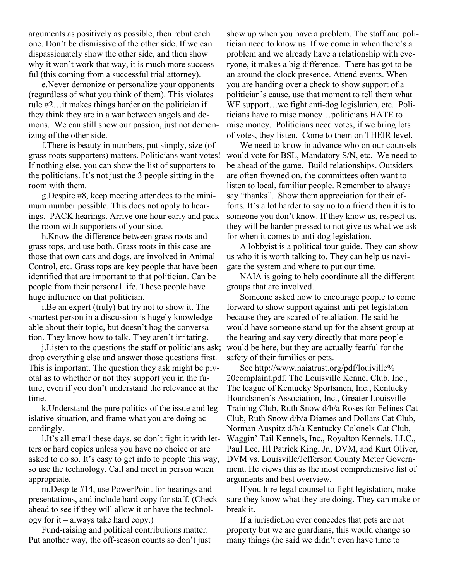arguments as positively as possible, then rebut each one. Don't be dismissive of the other side. If we can dispassionately show the other side, and then show why it won't work that way, it is much more successful (this coming from a successful trial attorney).

e.Never demonize or personalize your opponents (regardless of what you think of them). This violates rule #2…it makes things harder on the politician if they think they are in a war between angels and demons. We can still show our passion, just not demonizing of the other side.

f.There is beauty in numbers, put simply, size (of grass roots supporters) matters. Politicians want votes! If nothing else, you can show the list of supporters to the politicians. It's not just the 3 people sitting in the room with them.

g.Despite #8, keep meeting attendees to the minimum number possible. This does not apply to hearings. PACK hearings. Arrive one hour early and pack the room with supporters of your side.

h.Know the difference between grass roots and grass tops, and use both. Grass roots in this case are those that own cats and dogs, are involved in Animal Control, etc. Grass tops are key people that have been identified that are important to that politician. Can be people from their personal life. These people have huge influence on that politician.

i.Be an expert (truly) but try not to show it. The smartest person in a discussion is hugely knowledgeable about their topic, but doesn't hog the conversation. They know how to talk. They aren't irritating.

j.Listen to the questions the staff or politicians ask; drop everything else and answer those questions first. This is important. The question they ask might be pivotal as to whether or not they support you in the future, even if you don't understand the relevance at the time.

k.Understand the pure politics of the issue and legislative situation, and frame what you are doing accordingly.

l.It's all email these days, so don't fight it with letters or hard copies unless you have no choice or are asked to do so. It's easy to get info to people this way, so use the technology. Call and meet in person when appropriate.

m.Despite #14, use PowerPoint for hearings and presentations, and include hard copy for staff. (Check ahead to see if they will allow it or have the technology for it – always take hard copy.)

Fund-raising and political contributions matter. Put another way, the off-season counts so don't just show up when you have a problem. The staff and politician need to know us. If we come in when there's a problem and we already have a relationship with everyone, it makes a big difference. There has got to be an around the clock presence. Attend events. When you are handing over a check to show support of a politician's cause, use that moment to tell them what WE support...we fight anti-dog legislation, etc. Politicians have to raise money…politicians HATE to raise money. Politicians need votes, if we bring lots of votes, they listen. Come to them on THEIR level.

We need to know in advance who on our counsels would vote for BSL, Mandatory S/N, etc. We need to be ahead of the game. Build relationships. Outsiders are often frowned on, the committees often want to listen to local, familiar people. Remember to always say "thanks". Show them appreciation for their efforts. It's a lot harder to say no to a friend then it is to someone you don't know. If they know us, respect us, they will be harder pressed to not give us what we ask for when it comes to anti-dog legislation.

A lobbyist is a political tour guide. They can show us who it is worth talking to. They can help us navigate the system and where to put our time.

NAIA is going to help coordinate all the different groups that are involved.

Someone asked how to encourage people to come forward to show support against anti-pet legislation because they are scared of retaliation. He said he would have someone stand up for the absent group at the hearing and say very directly that more people would be here, but they are actually fearful for the safety of their families or pets.

See http://www.naiatrust.org/pdf/louiville% 20complaint.pdf, The Louisville Kennel Club, Inc., The league of Kentucky Sportsmen, Inc., Kentucky Houndsmen's Association, Inc., Greater Louisville Training Club, Ruth Snow d/b/a Roses for Felines Cat Club, Ruth Snow d/b/a Diames and Dollars Cat Club, Norman Auspitz d/b/a Kentucky Colonels Cat Club, Waggin' Tail Kennels, Inc., Royalton Kennels, LLC., Paul Lee, Hl Patrick King, Jr., DVM, and Kurt Oliver, DVM vs. Louisville/Jefferson County Metor Government. He views this as the most comprehensive list of arguments and best overview.

If you hire legal counsel to fight legislation, make sure they know what they are doing. They can make or break it.

If a jurisdiction ever concedes that pets are not property but we are guardians, this would change so many things (he said we didn't even have time to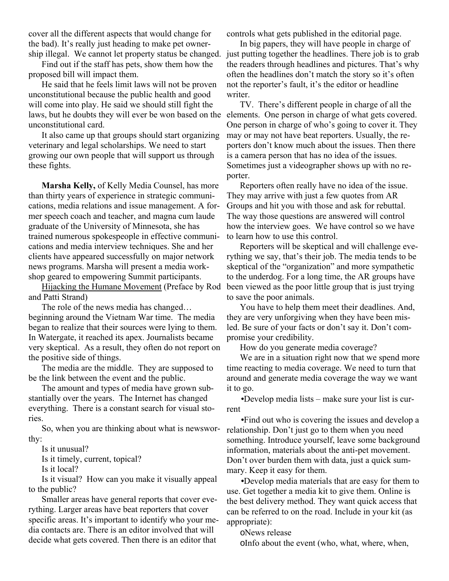cover all the different aspects that would change for the bad). It's really just heading to make pet ownership illegal. We cannot let property status be changed.

Find out if the staff has pets, show them how the proposed bill will impact them.

He said that he feels limit laws will not be proven unconstitutional because the public health and good will come into play. He said we should still fight the laws, but he doubts they will ever be won based on the unconstitutional card.

It also came up that groups should start organizing veterinary and legal scholarships. We need to start growing our own people that will support us through these fights.

**Marsha Kelly,** of Kelly Media Counsel, has more than thirty years of experience in strategic communications, media relations and issue management. A former speech coach and teacher, and magna cum laude graduate of the University of Minnesota, she has trained numerous spokespeople in effective communications and media interview techniques. She and her clients have appeared successfully on major network news programs. Marsha will present a media workshop geared to empowering Summit participants.

Hijacking the Humane Movement (Preface by Rod and Patti Strand)

The role of the news media has changed… beginning around the Vietnam War time. The media began to realize that their sources were lying to them. In Watergate, it reached its apex. Journalists became very skeptical. As a result, they often do not report on the positive side of things.

The media are the middle. They are supposed to be the link between the event and the public.

The amount and types of media have grown substantially over the years. The Internet has changed everything. There is a constant search for visual stories.

So, when you are thinking about what is newsworthy:

Is it unusual?

Is it timely, current, topical?

Is it local?

Is it visual? How can you make it visually appeal to the public?

Smaller areas have general reports that cover everything. Larger areas have beat reporters that cover specific areas. It's important to identify who your media contacts are. There is an editor involved that will decide what gets covered. Then there is an editor that

controls what gets published in the editorial page.

In big papers, they will have people in charge of just putting together the headlines. There job is to grab the readers through headlines and pictures. That's why often the headlines don't match the story so it's often not the reporter's fault, it's the editor or headline writer.

TV. There's different people in charge of all the elements. One person in charge of what gets covered. One person in charge of who's going to cover it. They may or may not have beat reporters. Usually, the reporters don't know much about the issues. Then there is a camera person that has no idea of the issues. Sometimes just a videographer shows up with no reporter.

Reporters often really have no idea of the issue. They may arrive with just a few quotes from AR Groups and hit you with those and ask for rebuttal. The way those questions are answered will control how the interview goes. We have control so we have to learn how to use this control.

Reporters will be skeptical and will challenge everything we say, that's their job. The media tends to be skeptical of the "organization" and more sympathetic to the underdog. For a long time, the AR groups have been viewed as the poor little group that is just trying to save the poor animals.

You have to help them meet their deadlines. And, they are very unforgiving when they have been misled. Be sure of your facts or don't say it. Don't compromise your credibility.

How do you generate media coverage?

We are in a situation right now that we spend more time reacting to media coverage. We need to turn that around and generate media coverage the way we want it to go.

•Develop media lists – make sure your list is current

•Find out who is covering the issues and develop a relationship. Don't just go to them when you need something. Introduce yourself, leave some background information, materials about the anti-pet movement. Don't over burden them with data, just a quick summary. Keep it easy for them.

•Develop media materials that are easy for them to use. Get together a media kit to give them. Online is the best delivery method. They want quick access that can be referred to on the road. Include in your kit (as appropriate):

News release Info about the event (who, what, where, when,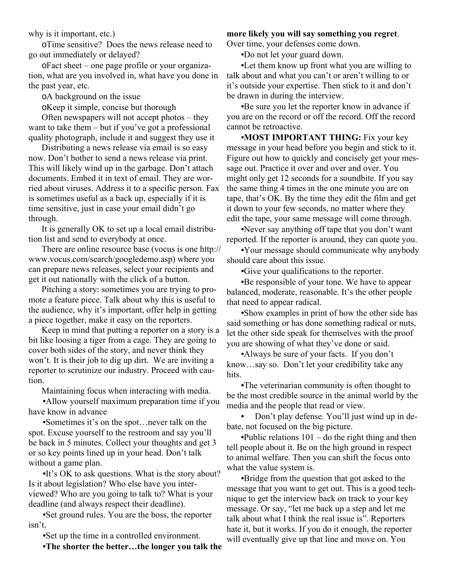why is it important, etc.)

Time sensitive? Does the news release need to go out immediately or delayed?

Fact sheet – one page profile or your organization, what are you involved in, what have you done in the past year, etc.

A background on the issue

Keep it simple, concise but thorough

Often newspapers will not accept photos – they want to take them – but if you've got a professional quality photograph, include it and suggest they use it

Distributing a news release via email is so easy now. Don't bother to send a news release via print. This will likely wind up in the garbage. Don't attach documents. Embed it in text of email. They are worried about viruses. Address it to a specific person. Fax is sometimes useful as a back up, especially if it is time sensitive, just in case your email didn't go through.

It is generally OK to set up a local email distribution list and send to everybody at once.

There are online resource base (vocus is one http:// www.vocus.com/search/googledemo.asp) where you can prepare news releases, select your recipients and get it out nationally with the click of a button.

Pitching a story: sometimes you are trying to promote a feature piece. Talk about why this is useful to the audience, why it's important, offer help in getting a piece together, make it easy on the reporters.

Keep in mind that putting a reporter on a story is a bit like loosing a tiger from a cage. They are going to cover both sides of the story, and never think they won't. It is their job to dig up dirt. We are inviting a reporter to scrutinize our industry. Proceed with caution.

Maintaining focus when interacting with media.

•Allow yourself maximum preparation time if you have know in advance

•Sometimes it's on the spot…never talk on the spot. Excuse yourself to the restroom and say you'll be back in 5 minutes. Collect your thoughts and get 3 or so key points lined up in your head. Don't talk without a game plan.

•It's OK to ask questions. What is the story about? Is it about legislation? Who else have you interviewed? Who are you going to talk to? What is your deadline (and always respect their deadline).

•Set ground rules. You are the boss, the reporter isn't.

•Set up the time in a controlled environment.

•**The shorter the better…the longer you talk the** 

#### **more likely you will say something you regret**.

Over time, your defenses come down.

•Do not let your guard down.

•Let them know up front what you are willing to talk about and what you can't or aren't willing to or it's outside your expertise. Then stick to it and don't be drawn in during the interview.

•Be sure you let the reporter know in advance if you are on the record or off the record. Off the record cannot be retroactive.

•**MOST IMPORTANT THING:** Fix your key message in your head before you begin and stick to it. Figure out how to quickly and concisely get your message out. Practice it over and over and over. You might only get 12 seconds for a soundbite. If you say the same thing 4 times in the one minute you are on tape, that's OK. By the time they edit the film and get it down to your few seconds, no matter where they edit the tape, your same message will come through.

•Never say anything off tape that you don't want reported. If the reporter is around, they can quote you.

•Your message should communicate why anybody should care about this issue.

•Give your qualifications to the reporter.

•Be responsible of your tone. We have to appear balanced, moderate, reasonable. It's the other people that need to appear radical.

•Show examples in print of how the other side has said something or has done something radical or nuts, let the other side speak for themselves with the proof you are showing of what they've done or said.

•Always be sure of your facts. If you don't know…say so. Don't let your credibility take any hits.

•The veterinarian community is often thought to be the most credible source in the animal world by the media and the people that read or view.

• Don't play defense. You'll just wind up in debate, not focused on the big picture.

•Public relations  $101 -$  do the right thing and then tell people about it. Be on the high ground in respect to animal welfare. Then you can shift the focus onto what the value system is.

•Bridge from the question that got asked to the message that you want to get out. This is a good technique to get the interview back on track to your key message. Or say, "let me back up a step and let me talk about what I think the real issue is". Reporters hate it, but it works. If you do it enough, the reporter will eventually give up that line and move on. You